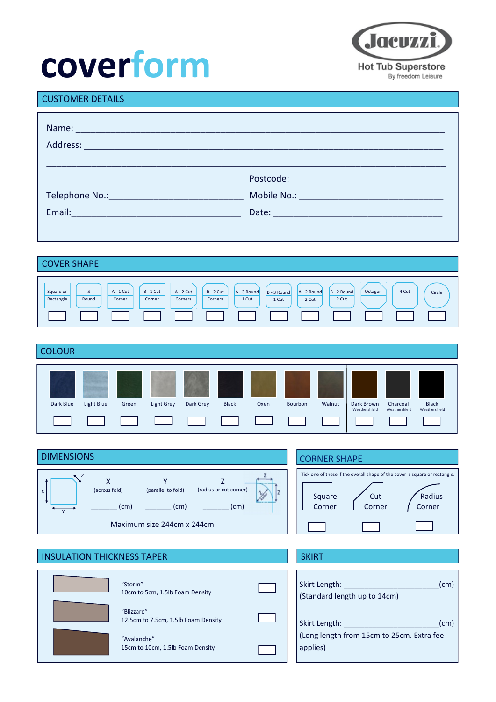## **coverform**



#### CUSTOMER DETAILS

| Name: Name:                                                                                                   |  |
|---------------------------------------------------------------------------------------------------------------|--|
|                                                                                                               |  |
|                                                                                                               |  |
| Email: 2008 - 2008 - 2010 - 2010 - 2010 - 2011 - 2012 - 2014 - 2014 - 2014 - 2014 - 2014 - 2014 - 2014 - 2014 |  |
|                                                                                                               |  |

#### COVER SHAPE Square or Rectangle 4 Round A - 1 Cut Corner  $B - 1$  Cut Corner A - 2 Cut **Corners** B - 2 Cut **Corners** A - 3 Round 1 Cut B - 3 Round 1 Cut A - 2 Round 2 Cut B - 2 Round 4 Cut Circle 2 Cut **Octagon**

| <b>COLOUR</b> |            |       |                                        |                                         |                               |                       |                |        |                             |                           |                               |
|---------------|------------|-------|----------------------------------------|-----------------------------------------|-------------------------------|-----------------------|----------------|--------|-----------------------------|---------------------------|-------------------------------|
| Dark Blue     | Light Blue | Green | <b>Light Grey</b><br><b>TERRITORIA</b> | Dark Grey<br>and the state of the state | <b>Black</b><br>and the state | Oxen<br>and the state | <b>Bourbon</b> | Walnut | Dark Brown<br>Weathershield | Charcoal<br>Weathershield | <b>Black</b><br>Weathershield |

| <b>DIMENSIONS</b>                                                                                                                                               | <b>CORNER SHAPE</b>                                                                                                                  |  |  |  |
|-----------------------------------------------------------------------------------------------------------------------------------------------------------------|--------------------------------------------------------------------------------------------------------------------------------------|--|--|--|
| v<br>------<br>(across fold)<br>(radius or cut corner)<br>(parallel to fold)<br>$\mathsf{x}$<br>$\sqrt{}$<br>(cm)<br>(cm)<br>(cm)<br>Maximum size 244cm x 244cm | Tick one of these if the overall shape of the cover is square or rectangle.<br>Radius<br>Cut<br>Square<br>Corner<br>Corner<br>Corner |  |  |  |

| <b>INSULATION THICKNESS TAPER</b> |                                                   |  |
|-----------------------------------|---------------------------------------------------|--|
|                                   | "Storm"<br>10cm to 5cm, 1.5lb Foam Density        |  |
|                                   | "Blizzard"<br>12.5cm to 7.5cm, 1.5lb Foam Density |  |
|                                   | "Avalanche"<br>15cm to 10cm, 1.5lb Foam Density   |  |

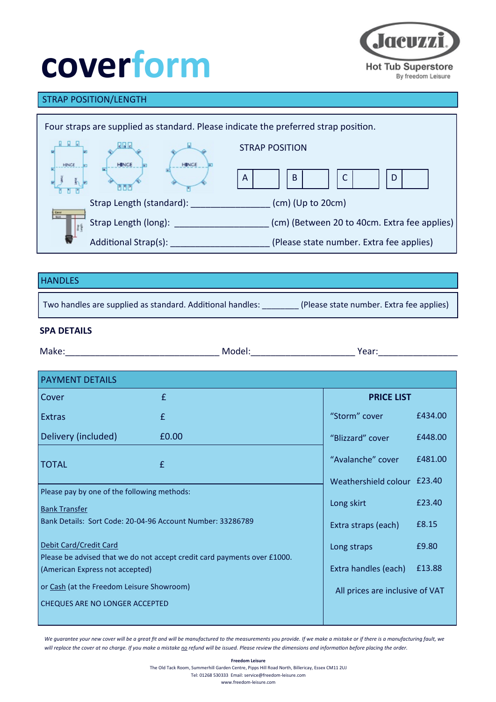# **coverform**



### STRAP POSITION/LENGTH

| Four straps are supplied as standard. Please indicate the preferred strap position. |                      |             |                                              |  |  |
|-------------------------------------------------------------------------------------|----------------------|-------------|----------------------------------------------|--|--|
|                                                                                     |                      |             | <b>STRAP POSITION</b>                        |  |  |
| <b>HINGE</b>                                                                        |                      | <b>HING</b> | B<br>D<br>A                                  |  |  |
| Strap Length (standard):                                                            |                      |             | $(cm)$ (Up to 20cm)                          |  |  |
| <b>Caver</b>                                                                        | Strap Length (long): |             | (cm) (Between 20 to 40cm. Extra fee applies) |  |  |
|                                                                                     | Additional Strap(s): |             | (Please state number. Extra fee applies)     |  |  |

#### **HANDLES**

Two handles are supplied as standard. Additional handles: \_\_\_\_\_\_\_\_ (Please state number. Extra fee applies)

#### **SPA DETAILS**

| Make:<br>1.1.1.1 | -iviodel. | lear |
|------------------|-----------|------|
|                  |           |      |

| <b>PAYMENT DETAILS</b>                                                                                      |                                 |                             |         |  |  |  |
|-------------------------------------------------------------------------------------------------------------|---------------------------------|-----------------------------|---------|--|--|--|
| Cover                                                                                                       | £                               | <b>PRICE LIST</b>           |         |  |  |  |
| <b>Extras</b>                                                                                               | £                               | "Storm" cover               | £434.00 |  |  |  |
| Delivery (included)                                                                                         | £0.00                           | "Blizzard" cover            | £448.00 |  |  |  |
| <b>TOTAL</b>                                                                                                | £                               | "Avalanche" cover           | £481.00 |  |  |  |
|                                                                                                             |                                 | Weathershield colour £23.40 |         |  |  |  |
| Please pay by one of the following methods:<br><b>Bank Transfer</b>                                         | Long skirt                      | £23.40                      |         |  |  |  |
| Bank Details: Sort Code: 20-04-96 Account Number: 33286789                                                  | Extra straps (each)             | £8.15                       |         |  |  |  |
| Debit Card/Credit Card                                                                                      |                                 | Long straps                 | £9.80   |  |  |  |
| Please be advised that we do not accept credit card payments over £1000.<br>(American Express not accepted) | Extra handles (each)            | £13.88                      |         |  |  |  |
| or Cash (at the Freedom Leisure Showroom)                                                                   | All prices are inclusive of VAT |                             |         |  |  |  |
| CHEQUES ARE NO LONGER ACCEPTED                                                                              |                                 |                             |         |  |  |  |
|                                                                                                             |                                 |                             |         |  |  |  |

We guarantee your new cover will be a great fit and will be manufactured to the measurements you provide. If we make a mistake or if there is a manufacturing fault, we will replace the cover at no charge. If you make a mistake no refund will be issued. Please review the dimensions and information before placing the order.

> **Freedom Leisure** The Old Tack Room, Summerhill Garden Centre, Pipps Hill Road North, Billericay, Essex CM11 2UJ Tel: 01268 530333 Email: service@freedom-leisure.com www.freedom-leisure.com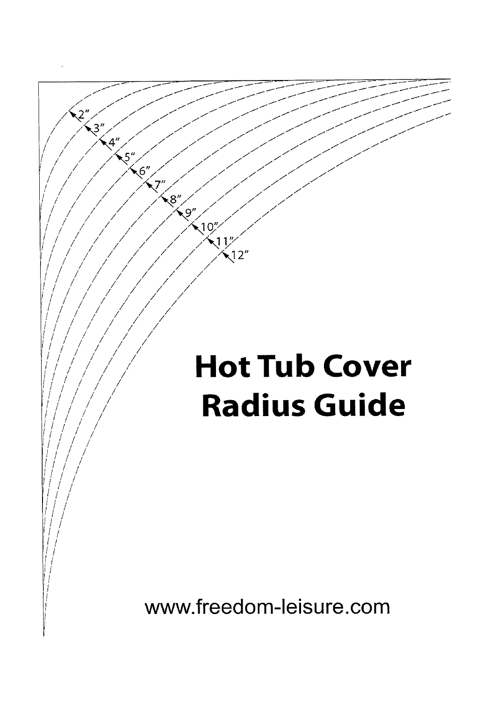### **Hot Tub Cover Radius Guide**

 $2^{n}$ 

.<br>رغ

 $4<sup>n</sup>$ 

 $5<sup>n</sup>$ 

 $\sqrt{6}$ 

7

 $\mathbb{R}^8$ 

-्9″

 $10''$ 

 $12<sup>n</sup>$ 

www.freedom-leisure.com